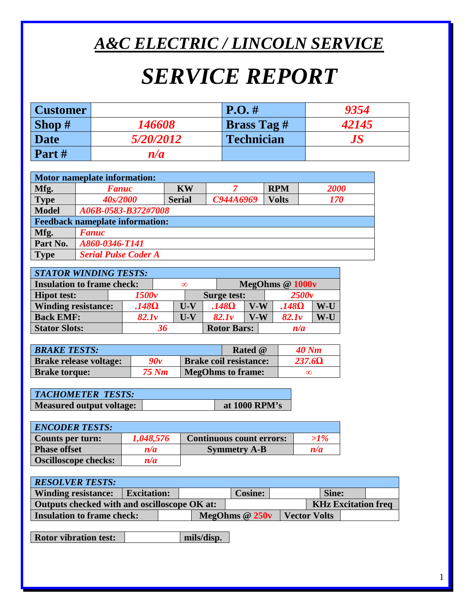## *A&C ELECTRIC / LINCOLN SERVICE*

# *SERVICE REPORT*

| <b>Customer</b> |               | $P.O. \#$          | 9354              |
|-----------------|---------------|--------------------|-------------------|
| Shop $#$        | <i>146608</i> | <b>Brass Tag #</b> | 42145             |
| <b>Date</b>     | 5/20/2012     | <b>Technician</b>  | $\boldsymbol{JS}$ |
| Part#           | n/a           |                    |                   |

| Motor nameplate information: |                                        |               |           |              |             |  |
|------------------------------|----------------------------------------|---------------|-----------|--------------|-------------|--|
| Mfg.                         | <b>Fanuc</b>                           | <b>KW</b>     |           | <b>RPM</b>   | <b>2000</b> |  |
| <b>Type</b>                  | 40s/2000                               | <b>Serial</b> | C944A6969 | <b>Volts</b> | 170         |  |
| <b>Model</b>                 | A06B-0583-B372#7008                    |               |           |              |             |  |
|                              | <b>Feedback nameplate information:</b> |               |           |              |             |  |
| Mfg.                         | <b>Fanuc</b>                           |               |           |              |             |  |
| Part No.                     | A860-0346-T141                         |               |           |              |             |  |
| <b>Type</b>                  | <b>Serial Pulse Coder A</b>            |               |           |              |             |  |

| <b>STATOR WINDING TESTS:</b>                  |              |       |     |                    |       |              |       |  |
|-----------------------------------------------|--------------|-------|-----|--------------------|-------|--------------|-------|--|
| <b>Insulation to frame check:</b><br>$\infty$ |              |       |     | MegOhms @ 1000v    |       |              |       |  |
| <b>Hipot test:</b>                            | 1500v        |       |     | <b>Surge test:</b> |       | 2500v        |       |  |
| <b>Winding resistance:</b>                    | $.148\Omega$ | $U-V$ |     | $.148\Omega$       | $V-W$ | $.148\Omega$ | W-U   |  |
| 82.1v<br><b>Back EMF:</b>                     |              |       | U-V | 82.1v              | $V-W$ | 82.1v        | $W-U$ |  |
| <b>Stator Slots:</b>                          |              | 36    |     | <b>Rotor Bars:</b> |       | n/a          |       |  |

| <b>BRAKE TESTS:</b>           |       | <b>Rated</b> @                | 40 Nm         |
|-------------------------------|-------|-------------------------------|---------------|
| <b>Brake release voltage:</b> | 90v   | <b>Brake coil resistance:</b> | $237.6\Omega$ |
| <b>Brake torque:</b>          | 75 Nm | <b>MegOhms to frame:</b>      | ∞             |

| <b>TACHOMETER TESTS:</b>        |               |
|---------------------------------|---------------|
| <b>Measured output voltage:</b> | at 1000 RPM's |

| <b>ENCODER TESTS:</b>       |           |                                 |        |
|-----------------------------|-----------|---------------------------------|--------|
| Counts per turn:            | 1,048,576 | <b>Continuous count errors:</b> | $>1\%$ |
| <b>Phase offset</b>         | n/a       | <b>Symmetry A-B</b>             | n/a    |
| <b>Oscilloscope checks:</b> | n/a       |                                 |        |

| <b>RESOLVER TESTS:</b>                                                     |                    |  |  |                 |              |  |
|----------------------------------------------------------------------------|--------------------|--|--|-----------------|--------------|--|
| <b>Winding resistance:</b>                                                 | <b>Excitation:</b> |  |  | <b>Cosine:</b>  | Sine:        |  |
| <b>KHz Excitation freq</b><br>Outputs checked with and oscilloscope OK at: |                    |  |  |                 |              |  |
| <b>Insulation to frame check:</b>                                          |                    |  |  | MegOhms $@250v$ | Vector Volts |  |

**Rotor vibration test: mils/disp.**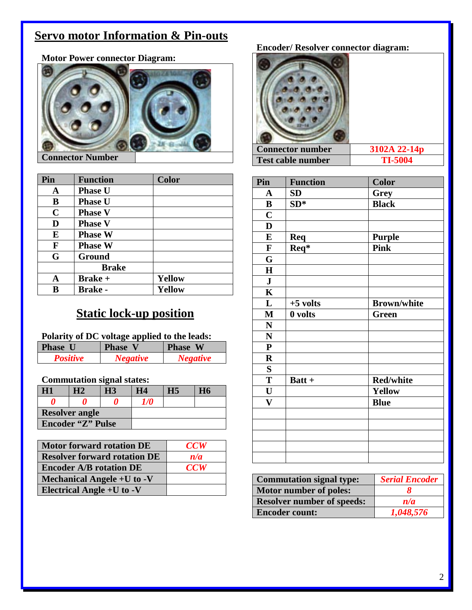## **Servo motor Information & Pin-outs**



**Motor Power connector Diagram:**

#### **Connector Number**

| Pin         | <b>Function</b> | <b>Color</b>  |
|-------------|-----------------|---------------|
| A           | <b>Phase U</b>  |               |
| B           | <b>Phase U</b>  |               |
| $\mathbf C$ | <b>Phase V</b>  |               |
| D           | <b>Phase V</b>  |               |
| E           | <b>Phase W</b>  |               |
| F           | <b>Phase W</b>  |               |
| G           | Ground          |               |
|             | <b>Brake</b>    |               |
| A           | <b>Brake</b> +  | <b>Yellow</b> |
| B           | <b>Brake -</b>  | <b>Yellow</b> |

## **Static lock-up position**

#### **Polarity of DC voltage applied to the leads:**

| <b>Phase U</b>  | <b>Phase V</b>  | <b>Phase W</b>  |
|-----------------|-----------------|-----------------|
| <b>Positive</b> | <b>Negative</b> | <i>Negative</i> |

#### **Commutation signal states:**

| H1                       |  | <b>H3</b> | H4         | Н5 |  |
|--------------------------|--|-----------|------------|----|--|
|                          |  |           | <i>1/0</i> |    |  |
| <b>Resolver angle</b>    |  |           |            |    |  |
| <b>Encoder "Z" Pulse</b> |  |           |            |    |  |

| <b>Motor forward rotation DE</b>    | CCW        |
|-------------------------------------|------------|
| <b>Resolver forward rotation DE</b> | n/a        |
| <b>Encoder A/B rotation DE</b>      | <b>CCW</b> |
| Mechanical Angele +U to -V          |            |
| Electrical Angle $+U$ to $-V$       |            |

#### **Encoder/ Resolver connector diagram:**

| <b>Connector number</b>  | 3102A 22-14p   |
|--------------------------|----------------|
| <b>Test cable number</b> | <b>TI-5004</b> |

| Pin                     | <b>Function</b> | <b>Color</b>       |
|-------------------------|-----------------|--------------------|
| $\mathbf A$             | SD              | Grey               |
| $\bf{B}$                | $SD*$           | <b>Black</b>       |
| $\mathbf C$             |                 |                    |
| $\mathbf{D}$            |                 |                    |
| ${\bf E}$               | <b>Req</b>      | <b>Purple</b>      |
| $\mathbf F$             | Req*            | <b>Pink</b>        |
| G                       |                 |                    |
| $\mathbf H$             |                 |                    |
| ${\bf J}$               |                 |                    |
| $\overline{\mathbf{K}}$ |                 |                    |
| L                       | $+5$ volts      | <b>Brown/white</b> |
| $\mathbf{M}$            | 0 volts         | <b>Green</b>       |
| $\mathbf N$             |                 |                    |
| $\mathbf N$             |                 |                    |
| ${\bf P}$               |                 |                    |
| $\mathbf R$             |                 |                    |
| S                       |                 |                    |
| T                       | Batt +          | <b>Red/white</b>   |
| $\mathbf U$             |                 | Yellow             |
| $\mathbf{V}$            |                 | <b>Blue</b>        |
|                         |                 |                    |
|                         |                 |                    |
|                         |                 |                    |
|                         |                 |                    |
|                         |                 |                    |

| <b>Commutation signal type:</b>   | <b>Serial Encoder</b> |  |  |
|-----------------------------------|-----------------------|--|--|
| Motor number of poles:            |                       |  |  |
| <b>Resolver number of speeds:</b> | n/a                   |  |  |
| <b>Encoder count:</b>             | 1,048,576             |  |  |

2